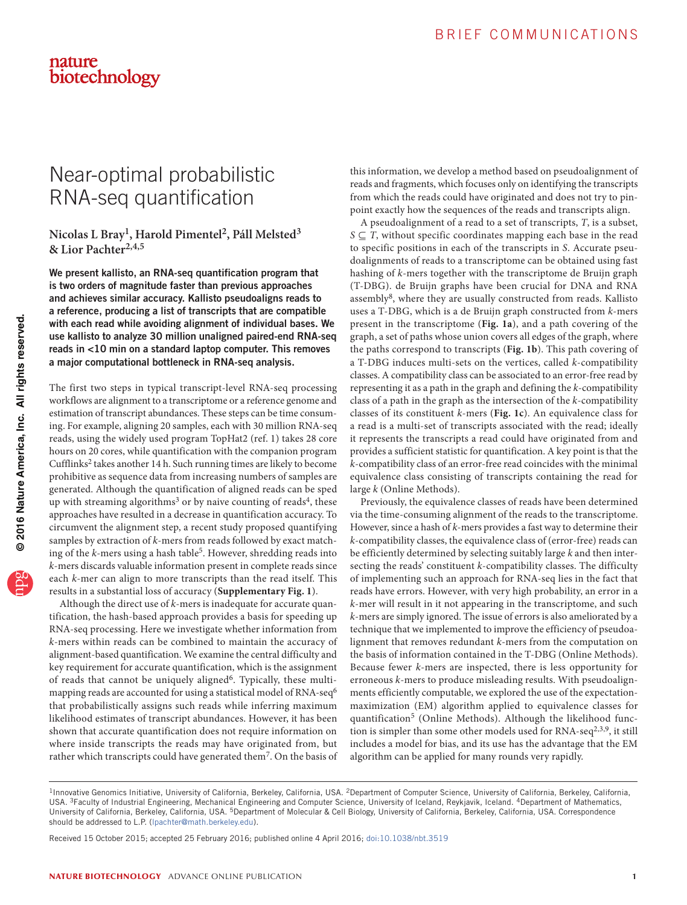# Near-optimal probabilistic RNA-seq quantification

**Nicolas L Bray1, Harold Pimentel2, Páll Melsted3 & Lior Pachter2,4,5**

We present kallisto, an RNA-seq quantification program that is two orders of magnitude faster than previous approaches and achieves similar accuracy. Kallisto pseudoaligns reads to a reference, producing a list of transcripts that are compatible with each read while avoiding alignment of individual bases. We use kallisto to analyze 30 million unaligned paired-end RNA-seq reads in <10 min on a standard laptop computer. This removes a major computational bottleneck in RNA-seq analysis.

The first two steps in typical transcript-level RNA-seq processing workflows are alignment to a transcriptome or a reference genome and estimation of transcript abundances. These steps can be time consuming. For example, aligning 20 samples, each with 30 million RNA-seq reads, using the widely used program TopHat2 (ref. [1](#page-2-0)) takes 28 core hours on 20 cores, while quantification with the companion program Cufflinks[2](#page-2-1) takes another 14 h. Such running times are likely to become prohibitive as sequence data from increasing numbers of samples are generated. Although the quantification of aligned reads can be sped up with streaming algorithms<sup>[3](#page-2-2)</sup> or by naive counting of reads<sup>4</sup>, these approaches have resulted in a decrease in quantification accuracy. To circumvent the alignment step, a recent study proposed quantifying samples by extraction of *k*-mers from reads followed by exact matching of the *k*-mers using a hash table<sup>[5](#page-2-4)</sup>. However, shredding reads into *k*-mers discards valuable information present in complete reads since each *k*-mer can align to more transcripts than the read itself. This results in a substantial loss of accuracy (**Supplementary Fig. 1**).

Although the direct use of *k*-mers is inadequate for accurate quantification, the hash-based approach provides a basis for speeding up RNA-seq processing. Here we investigate whether information from *k*-mers within reads can be combined to maintain the accuracy of alignment-based quantification. We examine the central difficulty and key requirement for accurate quantification, which is the assignment of reads that cannot be uniquely aligned<sup>6</sup>. Typically, these multimapping reads are accounted for using a statistical model of RNA-seq[6](#page-2-5) that probabilistically assigns such reads while inferring maximum likelihood estimates of transcript abundances. However, it has been shown that accurate quantification does not require information on where inside transcripts the reads may have originated from, but rather which transcripts could have generated them[7](#page-2-6). On the basis of

this information, we develop a method based on pseudoalignment of reads and fragments, which focuses only on identifying the transcripts from which the reads could have originated and does not try to pinpoint exactly how the sequences of the reads and transcripts align.

A pseudoalignment of a read to a set of transcripts, *T*, is a subset,  $S \subseteq T$ , without specific coordinates mapping each base in the read to specific positions in each of the transcripts in *S*. Accurate pseudoalignments of reads to a transcriptome can be obtained using fast hashing of *k*-mers together with the transcriptome de Bruijn graph (T-DBG). de Bruijn graphs have been crucial for DNA and RNA assembly<sup>8</sup>, where they are usually constructed from reads. Kallisto uses a T-DBG, which is a de Bruijn graph constructed from *k*-mers present in the transcriptome (**[Fig. 1a](#page-1-0)**), and a path covering of the graph, a set of paths whose union covers all edges of the graph, where the paths correspond to transcripts (**[Fig. 1b](#page-1-0)**). This path covering of a T-DBG induces multi-sets on the vertices, called *k*-compatibility classes. A compatibility class can be associated to an error-free read by representing it as a path in the graph and defining the *k*-compatibility class of a path in the graph as the intersection of the *k*-compatibility classes of its constituent *k*-mers (**[Fig. 1c](#page-1-0)**). An equivalence class for a read is a multi-set of transcripts associated with the read; ideally it represents the transcripts a read could have originated from and provides a sufficient statistic for quantification. A key point is that the *k*-compatibility class of an error-free read coincides with the minimal equivalence class consisting of transcripts containing the read for large *k* (Online Methods).

Previously, the equivalence classes of reads have been determined via the time-consuming alignment of the reads to the transcriptome. However, since a hash of *k*-mers provides a fast way to determine their *k*-compatibility classes, the equivalence class of (error-free) reads can be efficiently determined by selecting suitably large *k* and then intersecting the reads' constituent *k*-compatibility classes. The difficulty of implementing such an approach for RNA-seq lies in the fact that reads have errors. However, with very high probability, an error in a *k*-mer will result in it not appearing in the transcriptome, and such *k*-mers are simply ignored. The issue of errors is also ameliorated by a technique that we implemented to improve the efficiency of pseudoalignment that removes redundant *k*-mers from the computation on the basis of information contained in the T-DBG (Online Methods). Because fewer *k*-mers are inspected, there is less opportunity for erroneous *k*-mers to produce misleading results. With pseudoalignments efficiently computable, we explored the use of the expectationmaximization (EM) algorithm applied to equivalence classes for quantification<sup>5</sup> (Online Methods). Although the likelihood func-tion is simpler than some other models used for RNA-seq<sup>[2,](#page-2-1)[3,](#page-2-2)9</sup>, it still includes a model for bias, and its use has the advantage that the EM algorithm can be applied for many rounds very rapidly.

Received 15 October 2015; accepted 25 February 2016; published online 4 April 2016; [doi:10.1038/nbt.3519](http://dx.doi.org/10.1038/nbt.3519)

<sup>&</sup>lt;sup>1</sup> Innovative Genomics Initiative, University of California, Berkeley, California, USA. <sup>2</sup>Department of Computer Science, University of California, Berkeley, California, USA. <sup>3</sup>Faculty of Industrial Engineering, Mechanical Engineering and Computer Science, University of Iceland, Reykjavik, Iceland. <sup>4</sup>Department of Mathematics, University of California, Berkeley, California, USA. 5Department of Molecular & Cell Biology, University of California, Berkeley, California, USA. Correspondence should be addressed to L.P. (lpachter@math.berkeley.edu).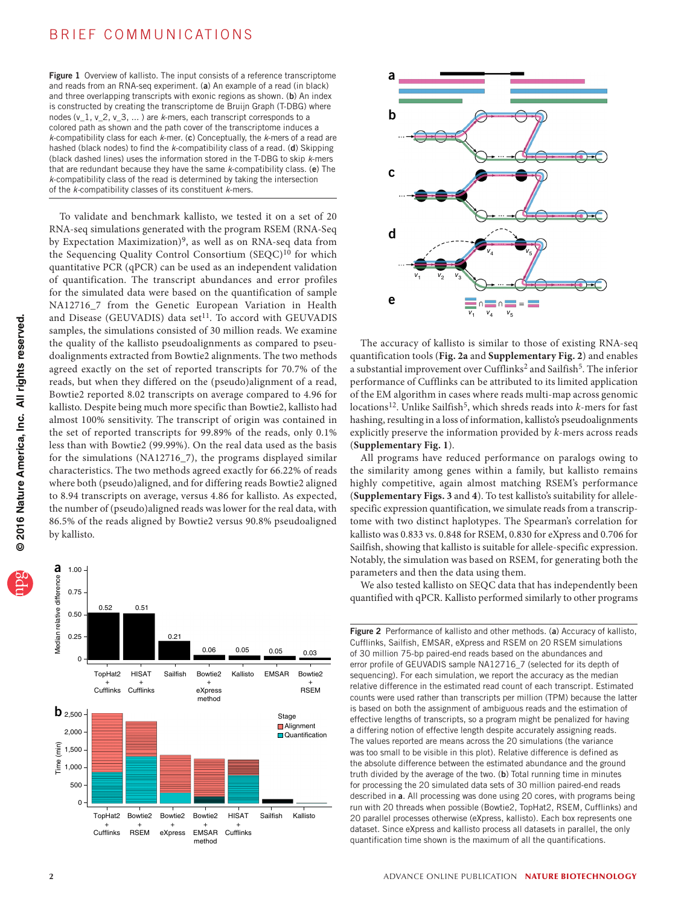# BRIEF COMMUNICATIONS

<span id="page-1-0"></span>Figure 1 Overview of kallisto. The input consists of a reference transcriptome and reads from an RNA-seq experiment. (a) An example of a read (in black) and three overlapping transcripts with exonic regions as shown. (b) An index is constructed by creating the transcriptome de Bruijn Graph (T-DBG) where nodes (v\_1, v\_2, v\_3, ... ) are *k*-mers, each transcript corresponds to a colored path as shown and the path cover of the transcriptome induces a *k*-compatibility class for each *k*-mer. (c) Conceptually, the *k*-mers of a read are hashed (black nodes) to find the *k*-compatibility class of a read. (d) Skipping (black dashed lines) uses the information stored in the T-DBG to skip *k*-mers that are redundant because they have the same *k*-compatibility class. (e) The *k*-compatibility class of the read is determined by taking the intersection of the *k-*compatibility classes of its constituent *k*-mers.

To validate and benchmark kallisto, we tested it on a set of 20 RNA-seq simulations generated with the program RSEM (RNA-Seq by Expectation Maximization)<sup>9</sup>, as well as on RNA-seq data from the Sequencing Quality Control Consortium (SEQC)<sup>10</sup> for which quantitative PCR (qPCR) can be used as an independent validation of quantification. The transcript abundances and error profiles for the simulated data were based on the quantification of sample NA12716\_7 from the Genetic European Variation in Health and Disease (GEUVADIS) data set<sup>[11](#page-2-10)</sup>. To accord with GEUVADIS samples, the simulations consisted of 30 million reads. We examine the quality of the kallisto pseudoalignments as compared to pseudoalignments extracted from Bowtie2 alignments. The two methods agreed exactly on the set of reported transcripts for 70.7% of the reads, but when they differed on the (pseudo)alignment of a read, Bowtie2 reported 8.02 transcripts on average compared to 4.96 for kallisto. Despite being much more specific than Bowtie2, kallisto had almost 100% sensitivity. The transcript of origin was contained in the set of reported transcripts for 99.89% of the reads, only 0.1% less than with Bowtie2 (99.99%). On the real data used as the basis for the simulations (NA12716\_7), the programs displayed similar characteristics. The two methods agreed exactly for 66.22% of reads where both (pseudo)aligned, and for differing reads Bowtie2 aligned to 8.94 transcripts on average, versus 4.86 for kallisto. As expected, the number of (pseudo)aligned reads was lower for the real data, with 86.5% of the reads aligned by Bowtie2 versus 90.8% pseudoaligned by kallisto.





The accuracy of kallisto is similar to those of existing RNA-seq quantification tools (**[Fig. 2a](#page-1-1)** and **Supplementary Fig. 2**) and enables a substantial improvement over Cufflinks<sup>[2](#page-2-1)</sup> and Sailfish<sup>5</sup>. The inferior performance of Cufflinks can be attributed to its limited application of the EM algorithm in cases where reads multi-map across genomic locations<sup>12</sup>. Unlike Sailfish<sup>[5](#page-2-4)</sup>, which shreds reads into *k*-mers for fast hashing, resulting in a loss of information, kallisto's pseudoalignments explicitly preserve the information provided by *k-*mers across reads (**Supplementary Fig. 1**).

All programs have reduced performance on paralogs owing to the similarity among genes within a family, but kallisto remains highly competitive, again almost matching RSEM's performance (**Supplementary Figs. 3** and **4**). To test kallisto's suitability for allelespecific expression quantification, we simulate reads from a transcriptome with two distinct haplotypes. The Spearman's correlation for kallisto was 0.833 vs. 0.848 for RSEM, 0.830 for eXpress and 0.706 for Sailfish, showing that kallisto is suitable for allele-specific expression. Notably, the simulation was based on RSEM, for generating both the parameters and then the data using them.

We also tested kallisto on SEQC data that has independently been quantified with qPCR. Kallisto performed similarly to other programs

<span id="page-1-1"></span>Figure 2 Performance of kallisto and other methods. (a) Accuracy of kallisto, Cufflinks, Sailfish, EMSAR, eXpress and RSEM on 20 RSEM simulations of 30 million 75-bp paired-end reads based on the abundances and error profile of GEUVADIS sample NA12716\_7 (selected for its depth of sequencing). For each simulation, we report the accuracy as the median relative difference in the estimated read count of each transcript. Estimated counts were used rather than transcripts per million (TPM) because the latter is based on both the assignment of ambiguous reads and the estimation of effective lengths of transcripts, so a program might be penalized for having a differing notion of effective length despite accurately assigning reads. The values reported are means across the 20 simulations (the variance was too small to be visible in this plot). Relative difference is defined as the absolute difference between the estimated abundance and the ground truth divided by the average of the two. (b) Total running time in minutes for processing the 20 simulated data sets of 30 million paired-end reads described in a. All processing was done using 20 cores, with programs being run with 20 threads when possible (Bowtie2, TopHat2, RSEM, Cufflinks) and 20 parallel processes otherwise (eXpress, kallisto). Each box represents one dataset. Since eXpress and kallisto process all datasets in parallel, the only quantification time shown is the maximum of all the quantifications.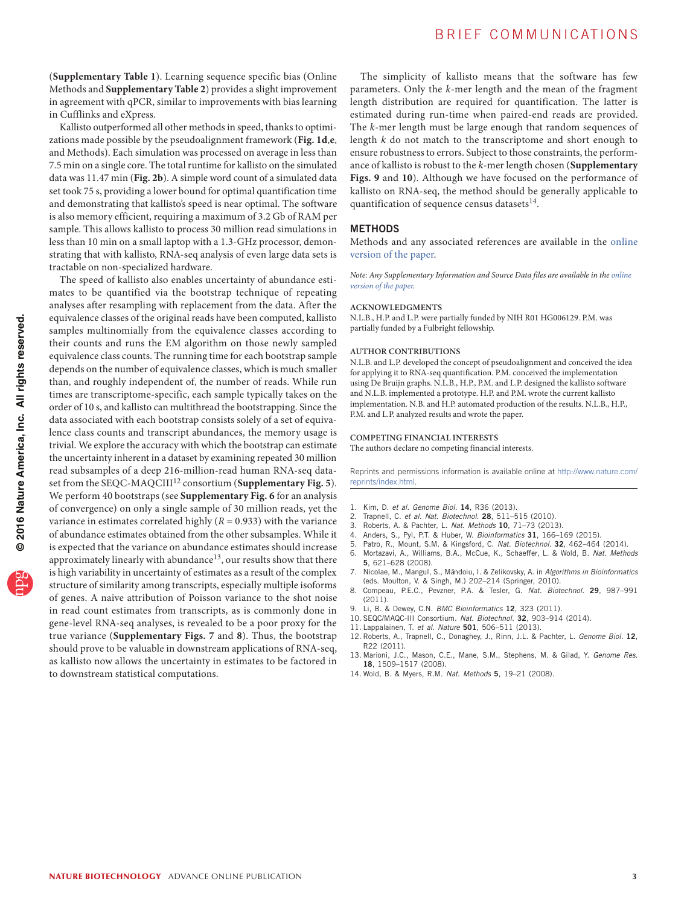(**Supplementary Table 1**). Learning sequence specific bias (Online Methods and **Supplementary Table 2**) provides a slight improvement in agreement with qPCR, similar to improvements with bias learning in Cufflinks and eXpress.

Kallisto outperformed all other methods in speed, thanks to optimizations made possible by the pseudoalignment framework (**Fig. 1d**,**e**, and Methods). Each simulation was processed on average in less than 7.5 min on a single core. The total runtime for kallisto on the simulated data was 11.47 min (**[Fig. 2b](#page-1-1)**). A simple word count of a simulated data set took 75 s, providing a lower bound for optimal quantification time and demonstrating that kallisto's speed is near optimal. The software is also memory efficient, requiring a maximum of 3.2 Gb of RAM per sample. This allows kallisto to process 30 million read simulations in less than 10 min on a small laptop with a 1.3-GHz processor, demonstrating that with kallisto, RNA-seq analysis of even large data sets is tractable on non-specialized hardware.

The speed of kallisto also enables uncertainty of abundance estimates to be quantified via the bootstrap technique of repeating analyses after resampling with replacement from the data. After the equivalence classes of the original reads have been computed, kallisto samples multinomially from the equivalence classes according to their counts and runs the EM algorithm on those newly sampled equivalence class counts. The running time for each bootstrap sample depends on the number of equivalence classes, which is much smaller than, and roughly independent of, the number of reads. While run times are transcriptome-specific, each sample typically takes on the order of 10 s, and kallisto can multithread the bootstrapping. Since the data associated with each bootstrap consists solely of a set of equivalence class counts and transcript abundances, the memory usage is trivial. We explore the accuracy with which the bootstrap can estimate the uncertainty inherent in a dataset by examining repeated 30 million read subsamples of a deep 216-million-read human RNA-seq data-set from the SEQC-MAQCIII<sup>[12](#page-2-11)</sup> consortium (**Supplementary Fig. 5**). We perform 40 bootstraps (see **Supplementary Fig. 6** for an analysis of convergence) on only a single sample of 30 million reads, yet the variance in estimates correlated highly  $(R = 0.933)$  with the variance of abundance estimates obtained from the other subsamples. While it is expected that the variance on abundance estimates should increase approximately linearly with abundance<sup>[13](#page-2-12)</sup>, our results show that there is high variability in uncertainty of estimates as a result of the complex structure of similarity among transcripts, especially multiple isoforms of genes. A naive attribution of Poisson variance to the shot noise in read count estimates from transcripts, as is commonly done in gene-level RNA-seq analyses, is revealed to be a poor proxy for the true variance (**Supplementary Figs. 7** and **8**). Thus, the bootstrap should prove to be valuable in downstream applications of RNA-seq, as kallisto now allows the uncertainty in estimates to be factored in to downstream statistical computations.

The simplicity of kallisto means that the software has few parameters. Only the *k*-mer length and the mean of the fragment length distribution are required for quantification. The latter is estimated during run-time when paired-end reads are provided. The *k*-mer length must be large enough that random sequences of length *k* do not match to the transcriptome and short enough to ensure robustness to errors. Subject to those constraints, the performance of kallisto is robust to the *k*-mer length chosen (**Supplementary Figs. 9** and **10**). Although we have focused on the performance of kallisto on RNA-seq, the method should be generally applicable to quantification of sequence census datasets $^{14}$  $^{14}$  $^{14}$ .

### **METHODS**

Methods and any associated references are available in the [online](http://dx.doi.org/10.1038/nbt.3519) [version](http://dx.doi.org/10.1038/nbt.3519) of the paper.

*Note: Any Supplementary Information and Source Data files are available in the [online](http://dx.doi.org/10.1038/nbt.3519) [version](http://dx.doi.org/10.1038/nbt.3519) of the paper.*

#### **Acknowledgments**

N.L.B., H.P. and L.P. were partially funded by NIH R01 HG006129. P.M. was partially funded by a Fulbright fellowship.

#### **AUTHOR CONTRIBUTIONS**

N.L.B. and L.P. developed the concept of pseudoalignment and conceived the idea for applying it to RNA-seq quantification. P.M. conceived the implementation using De Bruijn graphs. N.L.B., H.P., P.M. and L.P. designed the kallisto software and N.L.B. implemented a prototype. H.P. and P.M. wrote the current kallisto implementation. N.B. and H.P. automated production of the results. N.L.B., H.P., P.M. and L.P. analyzed results and wrote the paper.

#### **COMPETING FINANCIAL INTERESTS**

The authors declare no competing financial interests.

Reprints and permissions information is available online at [http://www.nature.com/](http://www.nature.com/reprints/index.html) [reprints/index.html.](http://www.nature.com/reprints/index.html)

- <span id="page-2-0"></span>1. Kim, D. *et al. Genome Biol.* 14, R36 (2013).
- <span id="page-2-1"></span>2. Trapnell, C. *et al. Nat. Biotechnol.* 28, 511–515 (2010).
- <span id="page-2-2"></span>3. Roberts, A. & Pachter, L. *Nat. Methods* 10, 71–73 (2013).
- <span id="page-2-3"></span>4. Anders, S., Pyl, P.T. & Huber, W. *Bioinformatics* 31, 166–169 (2015).
- <span id="page-2-4"></span>5. Patro, R., Mount, S.M. & Kingsford, C. *Nat. Biotechnol.* 32, 462–464 (2014).
- <span id="page-2-5"></span>6. Mortazavi, A., Williams, B.A., McCue, K., Schaeffer, L. & Wold, B. *Nat. Methods* 5, 621–628 (2008).
- <span id="page-2-6"></span>7. Nicolae, M., Mangul, S., Măndoiu, I. & Zelikovsky, A. in Algorithms in Bioinformatics (eds. Moulton, V. & Singh, M.) 202–214 (Springer, 2010).
- <span id="page-2-7"></span>8. Compeau, P.E.C., Pevzner, P.A. & Tesler, G. *Nat. Biotechnol.* 29, 987–991 (2011).
- <span id="page-2-8"></span>9. Li, B. & Dewey, C.N. *BMC Bioinformatics* 12, 323 (2011).
- <span id="page-2-9"></span>10. SEQC/MAQC-III Consortium. *Nat. Biotechnol.* 32, 903–914 (2014).
- <span id="page-2-10"></span>11. Lappalainen, T. *et al. Nature* 501, 506–511 (2013).
- <span id="page-2-11"></span>12. Roberts, A., Trapnell, C., Donaghey, J., Rinn, J.L. & Pachter, L. *Genome Biol.* 12, R22 (2011).
- <span id="page-2-12"></span>13. Marioni, J.C., Mason, C.E., Mane, S.M., Stephens, M. & Gilad, Y. *Genome Res.* 18, 1509–1517 (2008).
- <span id="page-2-13"></span>14. Wold, B. & Myers, R.M. *Nat. Methods* 5, 19–21 (2008).